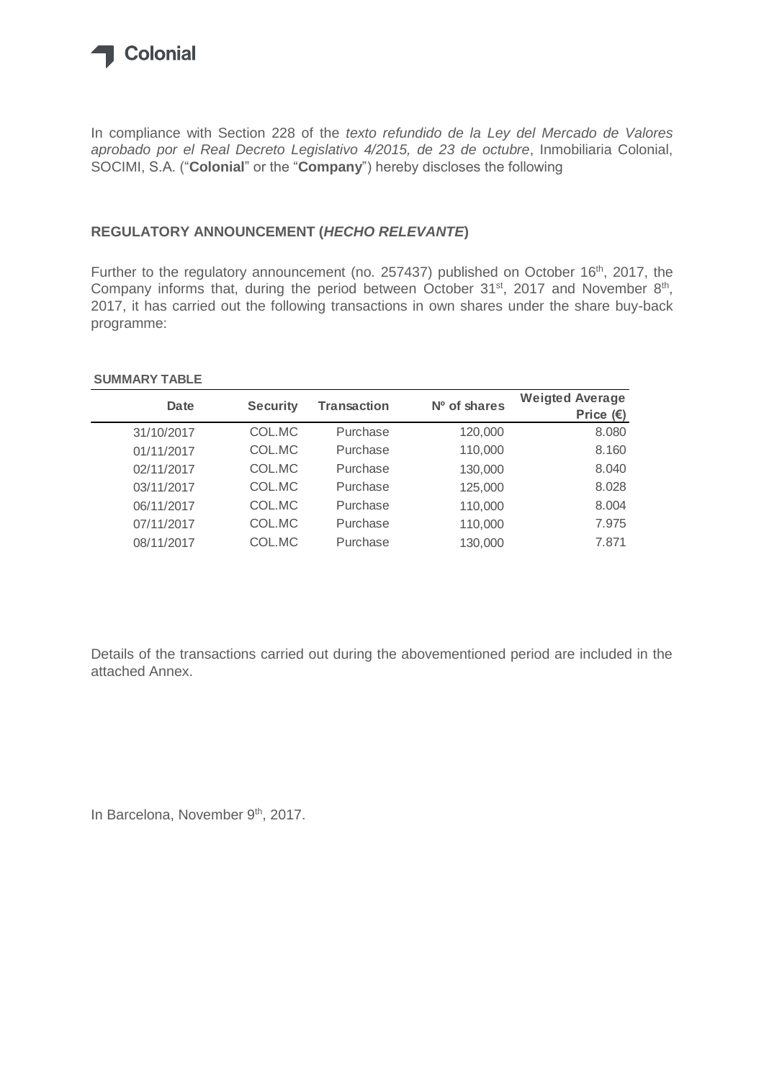

In compliance with Section 228 of the *texto refundido de la Ley del Mercado de Valores aprobado por el Real Decreto Legislativo 4/2015, de 23 de octubre*, Inmobiliaria Colonial, SOCIMI, S.A. ("**Colonial**" or the "**Company**") hereby discloses the following

## **REGULATORY ANNOUNCEMENT (***HECHO RELEVANTE***)**

Further to the regulatory announcement (no. 257437) published on October 16<sup>th</sup>, 2017, the Company informs that, during the period between October  $31<sup>st</sup>$ , 2017 and November  $8<sup>th</sup>$ , 2017, it has carried out the following transactions in own shares under the share buy-back programme:

## **SUMMARY TABLE**

| <b>Date</b> | <b>Security</b> | <b>Transaction</b> | Nº of shares | <b>Weigted Average</b><br>Price $(E)$ |
|-------------|-----------------|--------------------|--------------|---------------------------------------|
| 31/10/2017  | COL.MC          | Purchase           | 120,000      | 8.080                                 |
| 01/11/2017  | COL.MC          | Purchase           | 110,000      | 8.160                                 |
| 02/11/2017  | COL.MC          | Purchase           | 130,000      | 8.040                                 |
| 03/11/2017  | COL.MC          | Purchase           | 125,000      | 8.028                                 |
| 06/11/2017  | COL.MC          | Purchase           | 110,000      | 8.004                                 |
| 07/11/2017  | COL.MC          | Purchase           | 110,000      | 7.975                                 |
| 08/11/2017  | COL.MC          | Purchase           | 130,000      | 7.871                                 |

Details of the transactions carried out during the abovementioned period are included in the attached Annex.

In Barcelona, November 9<sup>th</sup>, 2017.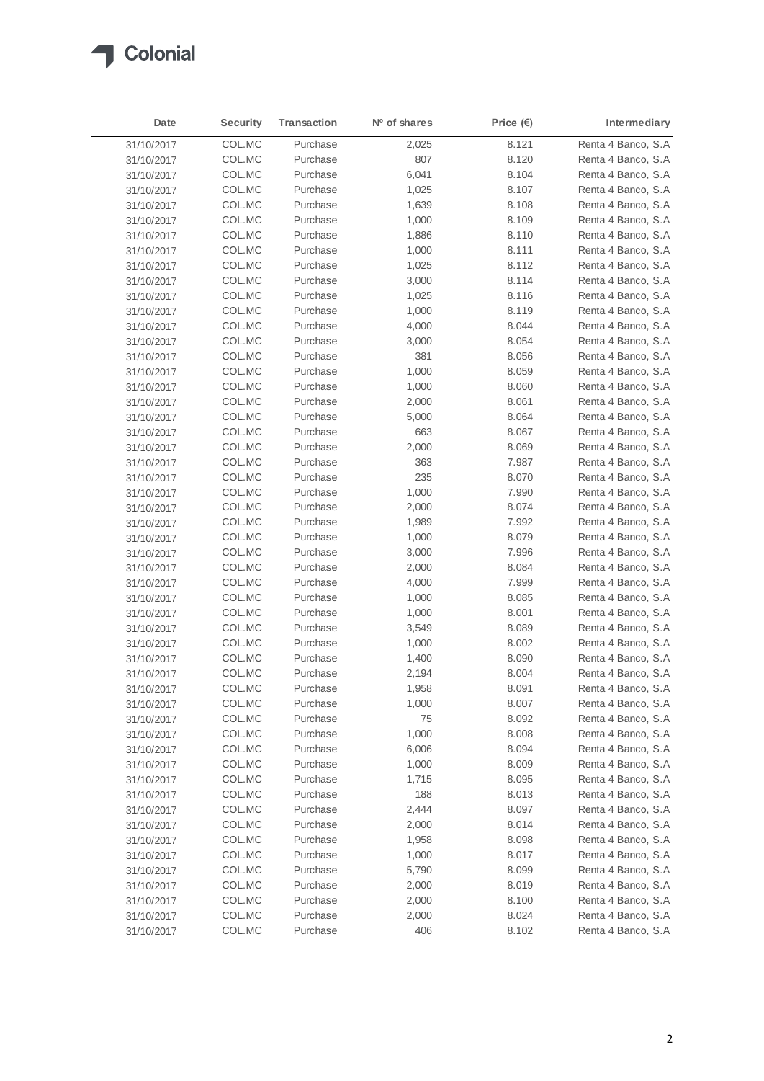

| Date       | <b>Security</b> | <b>Transaction</b> | Nº of shares | Price $(\epsilon)$ | Intermediary       |
|------------|-----------------|--------------------|--------------|--------------------|--------------------|
| 31/10/2017 | COL.MC          | Purchase           | 2,025        | 8.121              | Renta 4 Banco, S.A |
| 31/10/2017 | COL.MC          | Purchase           | 807          | 8.120              | Renta 4 Banco, S.A |
| 31/10/2017 | COL.MC          | Purchase           | 6,041        | 8.104              | Renta 4 Banco, S.A |
| 31/10/2017 | COL.MC          | Purchase           | 1,025        | 8.107              | Renta 4 Banco, S.A |
| 31/10/2017 | COL.MC          | Purchase           | 1,639        | 8.108              | Renta 4 Banco, S.A |
| 31/10/2017 | COL.MC          | Purchase           | 1,000        | 8.109              | Renta 4 Banco, S.A |
| 31/10/2017 | COL.MC          | Purchase           | 1,886        | 8.110              | Renta 4 Banco, S.A |
| 31/10/2017 | COL.MC          | Purchase           | 1,000        | 8.111              | Renta 4 Banco, S.A |
| 31/10/2017 | COL.MC          | Purchase           | 1,025        | 8.112              | Renta 4 Banco, S.A |
| 31/10/2017 | COL.MC          | Purchase           | 3,000        | 8.114              | Renta 4 Banco, S.A |
| 31/10/2017 | COL.MC          | Purchase           | 1,025        | 8.116              | Renta 4 Banco, S.A |
| 31/10/2017 | COL.MC          | Purchase           | 1,000        | 8.119              | Renta 4 Banco, S.A |
| 31/10/2017 | COL.MC          | Purchase           | 4,000        | 8.044              | Renta 4 Banco, S.A |
| 31/10/2017 | COL.MC          | Purchase           | 3,000        | 8.054              | Renta 4 Banco, S.A |
| 31/10/2017 | COL.MC          | Purchase           | 381          | 8.056              | Renta 4 Banco, S.A |
| 31/10/2017 | COL.MC          | Purchase           | 1,000        | 8.059              | Renta 4 Banco, S.A |
| 31/10/2017 | COL.MC          | Purchase           | 1,000        | 8.060              | Renta 4 Banco, S.A |
| 31/10/2017 | COL.MC          | Purchase           | 2,000        | 8.061              | Renta 4 Banco, S.A |
| 31/10/2017 | COL.MC          | Purchase           | 5,000        | 8.064              | Renta 4 Banco, S.A |
| 31/10/2017 | COL.MC          | Purchase           | 663          | 8.067              | Renta 4 Banco, S.A |
| 31/10/2017 | COL.MC          | Purchase           | 2,000        | 8.069              | Renta 4 Banco, S.A |
| 31/10/2017 | COL.MC          | Purchase           | 363          | 7.987              | Renta 4 Banco, S.A |
| 31/10/2017 | COL.MC          | Purchase           | 235          | 8.070              | Renta 4 Banco, S.A |
| 31/10/2017 | COL.MC          | Purchase           | 1,000        | 7.990              | Renta 4 Banco, S.A |
| 31/10/2017 | COL.MC          | Purchase           | 2,000        | 8.074              | Renta 4 Banco, S.A |
| 31/10/2017 | COL.MC          | Purchase           | 1,989        | 7.992              | Renta 4 Banco, S.A |
| 31/10/2017 | COL.MC          | Purchase           | 1,000        | 8.079              | Renta 4 Banco, S.A |
| 31/10/2017 | COL.MC          | Purchase           | 3,000        | 7.996              | Renta 4 Banco, S.A |
| 31/10/2017 | COL.MC          | Purchase           | 2,000        | 8.084              | Renta 4 Banco, S.A |
| 31/10/2017 | COL.MC          | Purchase           | 4,000        | 7.999              | Renta 4 Banco, S.A |
| 31/10/2017 | COL.MC          | Purchase           | 1,000        | 8.085              | Renta 4 Banco, S.A |
| 31/10/2017 | COL.MC          | Purchase           | 1,000        | 8.001              | Renta 4 Banco, S.A |
| 31/10/2017 | COL.MC          | Purchase           | 3,549        | 8.089              | Renta 4 Banco, S.A |
| 31/10/2017 | COL.MC          | Purchase           | 1,000        | 8.002              | Renta 4 Banco, S.A |
| 31/10/2017 | COL.MC          | Purchase           | 1,400        | 8.090              | Renta 4 Banco, S.A |
| 31/10/2017 | COL.MC          | Purchase           | 2,194        | 8.004              | Renta 4 Banco, S.A |
| 31/10/2017 | COL.MC          | Purchase           | 1,958        | 8.091              | Renta 4 Banco, S.A |
| 31/10/2017 | COL.MC          | Purchase           | 1,000        | 8.007              | Renta 4 Banco, S.A |
| 31/10/2017 | COL.MC          | Purchase           | 75           | 8.092              | Renta 4 Banco, S.A |
| 31/10/2017 | COL.MC          | Purchase           | 1,000        | 8.008              | Renta 4 Banco, S.A |
| 31/10/2017 | COL.MC          | Purchase           | 6,006        | 8.094              | Renta 4 Banco, S.A |
| 31/10/2017 | COL.MC          | Purchase           | 1,000        | 8.009              | Renta 4 Banco, S.A |
| 31/10/2017 | COL.MC          | Purchase           | 1,715        | 8.095              | Renta 4 Banco, S.A |
| 31/10/2017 | COL.MC          | Purchase           | 188          | 8.013              | Renta 4 Banco, S.A |
| 31/10/2017 | COL.MC          | Purchase           | 2,444        | 8.097              | Renta 4 Banco, S.A |
| 31/10/2017 | COL.MC          | Purchase           | 2,000        | 8.014              | Renta 4 Banco, S.A |
| 31/10/2017 | COL.MC          | Purchase           | 1,958        | 8.098              | Renta 4 Banco, S.A |
| 31/10/2017 | COL.MC          | Purchase           | 1,000        | 8.017              | Renta 4 Banco, S.A |
| 31/10/2017 | COL.MC          | Purchase           | 5,790        | 8.099              | Renta 4 Banco, S.A |
| 31/10/2017 | COL.MC          | Purchase           | 2,000        | 8.019              | Renta 4 Banco, S.A |
| 31/10/2017 | COL.MC          | Purchase           | 2,000        | 8.100              | Renta 4 Banco, S.A |
| 31/10/2017 | COL.MC          | Purchase           | 2,000        | 8.024              | Renta 4 Banco, S.A |
| 31/10/2017 | COL.MC          | Purchase           | 406          | 8.102              | Renta 4 Banco, S.A |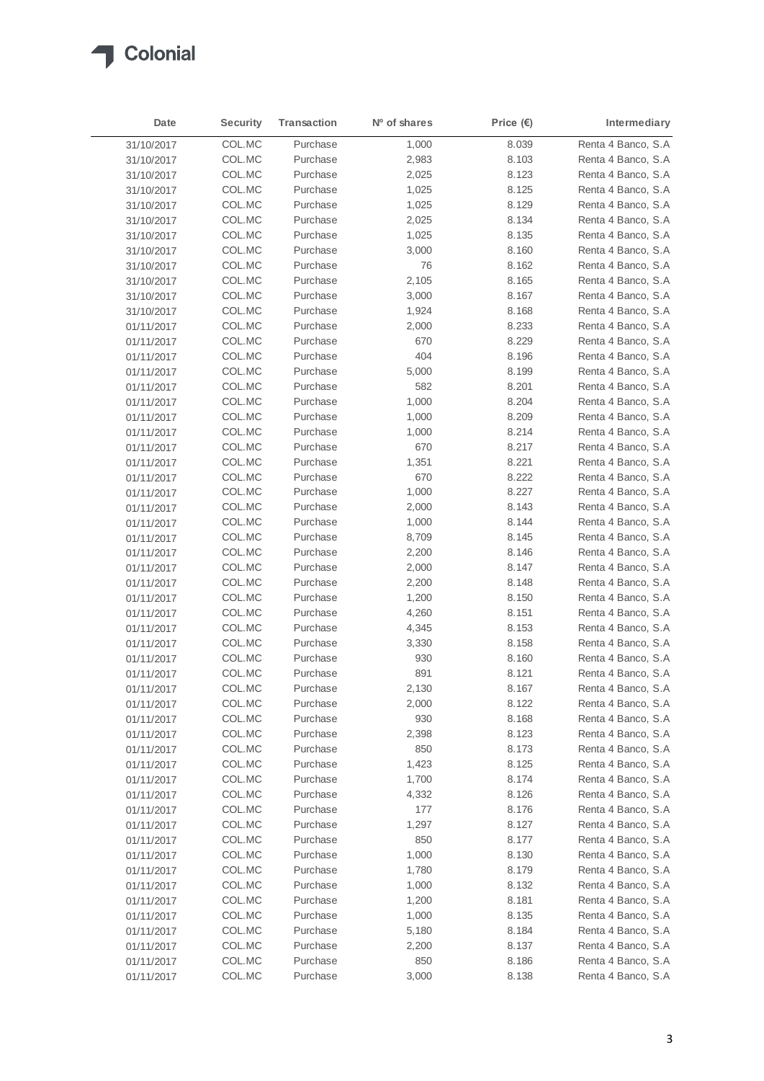

| Date       | <b>Security</b> | <b>Transaction</b> | Nº of shares | Price $(\epsilon)$ | Intermediary        |
|------------|-----------------|--------------------|--------------|--------------------|---------------------|
| 31/10/2017 | COL.MC          | Purchase           | 1,000        | 8.039              | Renta 4 Banco, S.A  |
| 31/10/2017 | COL.MC          | Purchase           | 2,983        | 8.103              | Renta 4 Banco, S.A  |
| 31/10/2017 | COL.MC          | Purchase           | 2,025        | 8.123              | Renta 4 Banco, S.A  |
| 31/10/2017 | COL.MC          | Purchase           | 1,025        | 8.125              | Renta 4 Banco, S.A  |
| 31/10/2017 | COL.MC          | Purchase           | 1,025        | 8.129              | Renta 4 Banco, S.A. |
| 31/10/2017 | COL.MC          | Purchase           | 2,025        | 8.134              | Renta 4 Banco, S.A  |
| 31/10/2017 | COL.MC          | Purchase           | 1,025        | 8.135              | Renta 4 Banco, S.A  |
| 31/10/2017 | COL.MC          | Purchase           | 3,000        | 8.160              | Renta 4 Banco, S.A  |
| 31/10/2017 | COL.MC          | Purchase           | 76           | 8.162              | Renta 4 Banco, S.A  |
| 31/10/2017 | COL.MC          | Purchase           | 2,105        | 8.165              | Renta 4 Banco, S.A  |
| 31/10/2017 | COL.MC          | Purchase           | 3,000        | 8.167              | Renta 4 Banco, S.A  |
| 31/10/2017 | COL.MC          | Purchase           | 1,924        | 8.168              | Renta 4 Banco, S.A. |
| 01/11/2017 | COL.MC          | Purchase           | 2,000        | 8.233              | Renta 4 Banco, S.A  |
| 01/11/2017 | COL.MC          | Purchase           | 670          | 8.229              | Renta 4 Banco, S.A  |
| 01/11/2017 | COL.MC          | Purchase           | 404          | 8.196              | Renta 4 Banco, S.A  |
| 01/11/2017 | COL.MC          | Purchase           | 5,000        | 8.199              | Renta 4 Banco, S.A  |
| 01/11/2017 | COL.MC          | Purchase           | 582          | 8.201              | Renta 4 Banco, S.A  |
| 01/11/2017 | COL.MC          | Purchase           | 1,000        | 8.204              | Renta 4 Banco, S.A  |
| 01/11/2017 | COL.MC          | Purchase           | 1,000        | 8.209              | Renta 4 Banco, S.A  |
| 01/11/2017 | COL.MC          | Purchase           | 1,000        | 8.214              | Renta 4 Banco, S.A  |
| 01/11/2017 | COL.MC          | Purchase           | 670          | 8.217              | Renta 4 Banco, S.A  |
| 01/11/2017 | COL.MC          | Purchase           | 1,351        | 8.221              | Renta 4 Banco, S.A  |
| 01/11/2017 | COL.MC          | Purchase           | 670          | 8.222              | Renta 4 Banco, S.A  |
| 01/11/2017 | COL.MC          | Purchase           | 1,000        | 8.227              | Renta 4 Banco, S.A  |
| 01/11/2017 | COL.MC          | Purchase           | 2,000        | 8.143              | Renta 4 Banco, S.A  |
| 01/11/2017 | COL.MC          | Purchase           | 1,000        | 8.144              | Renta 4 Banco, S.A  |
| 01/11/2017 | COL.MC          | Purchase           | 8,709        | 8.145              | Renta 4 Banco, S.A  |
| 01/11/2017 | COL.MC          | Purchase           | 2,200        | 8.146              | Renta 4 Banco, S.A  |
| 01/11/2017 | COL.MC          | Purchase           | 2,000        | 8.147              | Renta 4 Banco, S.A  |
| 01/11/2017 | COL.MC          | Purchase           | 2,200        | 8.148              | Renta 4 Banco, S.A  |
| 01/11/2017 | COL.MC          | Purchase           | 1,200        | 8.150              | Renta 4 Banco, S.A  |
| 01/11/2017 | COL.MC          | Purchase           | 4,260        | 8.151              | Renta 4 Banco, S.A  |
| 01/11/2017 | COL.MC          | Purchase           | 4,345        | 8.153              | Renta 4 Banco, S.A  |
| 01/11/2017 | COL.MC          | Purchase           | 3,330        | 8.158              | Renta 4 Banco, S.A  |
| 01/11/2017 | COL.MC          | Purchase           | 930          | 8.160              | Renta 4 Banco, S.A  |
| 01/11/2017 | COL.MC          | Purchase           | 891          | 8.121              | Renta 4 Banco, S.A  |
| 01/11/2017 | COL.MC          | Purchase           | 2,130        | 8.167              | Renta 4 Banco, S.A  |
| 01/11/2017 | COL.MC          | Purchase           | 2,000        | 8.122              | Renta 4 Banco, S.A  |
| 01/11/2017 | COL.MC          | Purchase           | 930          | 8.168              | Renta 4 Banco, S.A  |
| 01/11/2017 | COL.MC          | Purchase           | 2,398        | 8.123              | Renta 4 Banco, S.A  |
| 01/11/2017 | COL.MC          | Purchase           | 850          | 8.173              | Renta 4 Banco, S.A  |
| 01/11/2017 | COL.MC          | Purchase           | 1,423        | 8.125              | Renta 4 Banco, S.A  |
| 01/11/2017 | COL.MC          | Purchase           | 1,700        | 8.174              | Renta 4 Banco, S.A  |
| 01/11/2017 | COL.MC          | Purchase           | 4,332        | 8.126              | Renta 4 Banco, S.A  |
| 01/11/2017 | COL.MC          | Purchase           | 177          | 8.176              | Renta 4 Banco, S.A  |
| 01/11/2017 | COL.MC          | Purchase           | 1,297        | 8.127              | Renta 4 Banco, S.A  |
| 01/11/2017 | COL.MC          | Purchase           | 850          | 8.177              | Renta 4 Banco, S.A  |
| 01/11/2017 | COL.MC          | Purchase           | 1,000        | 8.130              | Renta 4 Banco, S.A  |
| 01/11/2017 | COL.MC          | Purchase           | 1,780        | 8.179              | Renta 4 Banco, S.A  |
| 01/11/2017 | COL.MC          | Purchase           | 1,000        | 8.132              | Renta 4 Banco, S.A  |
| 01/11/2017 | COL.MC          | Purchase           | 1,200        | 8.181              | Renta 4 Banco, S.A  |
| 01/11/2017 | COL.MC          | Purchase           | 1,000        | 8.135              | Renta 4 Banco, S.A  |
| 01/11/2017 | COL.MC          | Purchase           | 5,180        | 8.184              | Renta 4 Banco, S.A  |
| 01/11/2017 | COL.MC          | Purchase           | 2,200        | 8.137              | Renta 4 Banco, S.A  |
| 01/11/2017 | COL.MC          | Purchase           | 850          | 8.186              | Renta 4 Banco, S.A  |
| 01/11/2017 | COL.MC          | Purchase           | 3,000        | 8.138              | Renta 4 Banco, S.A  |
|            |                 |                    |              |                    |                     |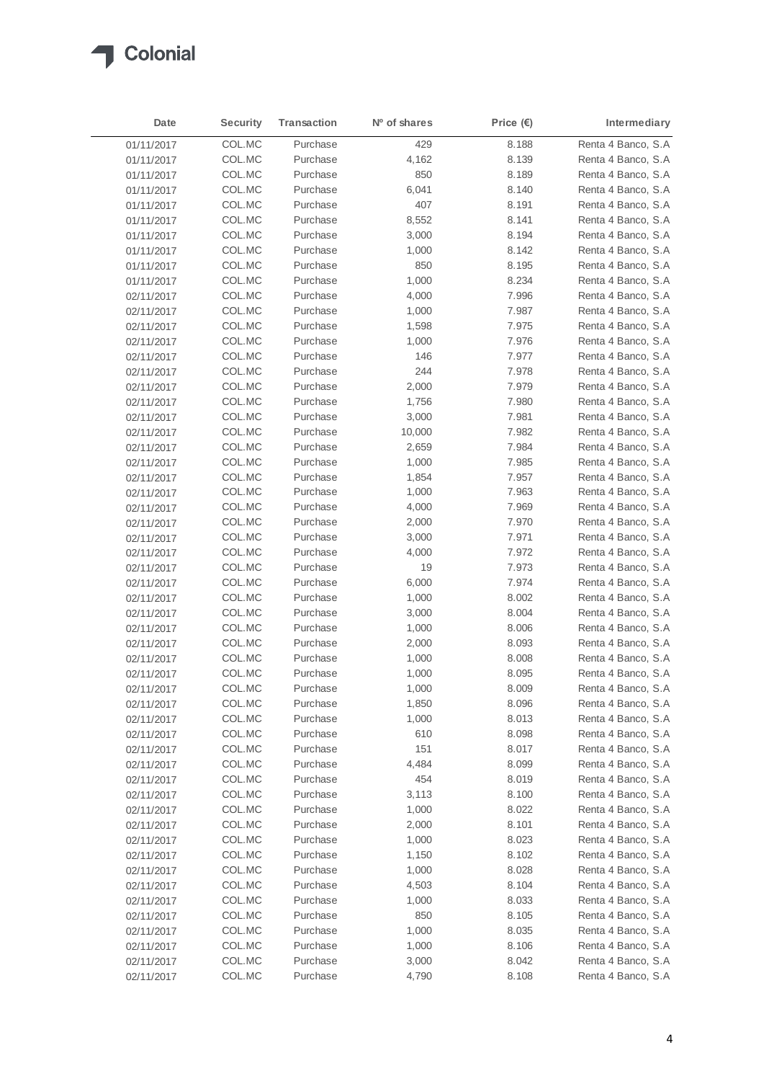

| Date                     | <b>Security</b> | <b>Transaction</b> | Nº of shares | Price $(\epsilon)$ | Intermediary       |
|--------------------------|-----------------|--------------------|--------------|--------------------|--------------------|
| 01/11/2017               | COL.MC          | Purchase           | 429          | 8.188              | Renta 4 Banco, S.A |
| 01/11/2017               | COL.MC          | Purchase           | 4,162        | 8.139              | Renta 4 Banco, S.A |
| 01/11/2017               | COL.MC          | Purchase           | 850          | 8.189              | Renta 4 Banco, S.A |
| 01/11/2017               | COL.MC          | Purchase           | 6,041        | 8.140              | Renta 4 Banco, S.A |
| 01/11/2017               | COL.MC          | Purchase           | 407          | 8.191              | Renta 4 Banco, S.A |
| 01/11/2017               | COL.MC          | Purchase           | 8,552        | 8.141              | Renta 4 Banco, S.A |
| 01/11/2017               | COL.MC          | Purchase           | 3,000        | 8.194              | Renta 4 Banco, S.A |
| 01/11/2017               | COL.MC          | Purchase           | 1,000        | 8.142              | Renta 4 Banco, S.A |
| 01/11/2017               | COL.MC          | Purchase           | 850          | 8.195              | Renta 4 Banco, S.A |
| 01/11/2017               | COL.MC          | Purchase           | 1,000        | 8.234              | Renta 4 Banco, S.A |
| 02/11/2017               | COL.MC          | Purchase           | 4,000        | 7.996              | Renta 4 Banco, S.A |
| 02/11/2017               | COL.MC          | Purchase           | 1,000        | 7.987              | Renta 4 Banco, S.A |
| 02/11/2017               | COL.MC          | Purchase           | 1,598        | 7.975              | Renta 4 Banco, S.A |
| 02/11/2017               | COL.MC          | Purchase           | 1,000        | 7.976              | Renta 4 Banco, S.A |
| 02/11/2017               | COL.MC          | Purchase           | 146          | 7.977              | Renta 4 Banco, S.A |
| 02/11/2017               | COL.MC          | Purchase           | 244          | 7.978              | Renta 4 Banco, S.A |
| 02/11/2017               | COL.MC          | Purchase           | 2,000        | 7.979              | Renta 4 Banco, S.A |
| 02/11/2017               | COL.MC          | Purchase           | 1,756        | 7.980              | Renta 4 Banco, S.A |
| 02/11/2017               | COL.MC          | Purchase           | 3,000        | 7.981              | Renta 4 Banco, S.A |
| 02/11/2017               | COL.MC          | Purchase           | 10,000       | 7.982              | Renta 4 Banco, S.A |
| 02/11/2017               | COL.MC          | Purchase           | 2,659        | 7.984              | Renta 4 Banco, S.A |
| 02/11/2017               | COL.MC          | Purchase           | 1,000        | 7.985              | Renta 4 Banco, S.A |
| 02/11/2017               | COL.MC          | Purchase           | 1,854        | 7.957              | Renta 4 Banco, S.A |
| 02/11/2017               | COL.MC          | Purchase           | 1,000        | 7.963              | Renta 4 Banco, S.A |
| 02/11/2017               | COL.MC          | Purchase           | 4,000        | 7.969              | Renta 4 Banco, S.A |
| 02/11/2017               | COL.MC          | Purchase           | 2,000        | 7.970              | Renta 4 Banco, S.A |
| 02/11/2017               | COL.MC          | Purchase           | 3,000        | 7.971              | Renta 4 Banco, S.A |
| 02/11/2017               | COL.MC          | Purchase           | 4,000        | 7.972              | Renta 4 Banco, S.A |
|                          | COL.MC          | Purchase           | 19           | 7.973              | Renta 4 Banco, S.A |
| 02/11/2017<br>02/11/2017 | COL.MC          | Purchase           | 6,000        | 7.974              | Renta 4 Banco, S.A |
|                          | COL.MC          | Purchase           | 1,000        | 8.002              | Renta 4 Banco, S.A |
| 02/11/2017               | COL.MC          | Purchase           | 3,000        | 8.004              | Renta 4 Banco, S.A |
| 02/11/2017<br>02/11/2017 | COL.MC          | Purchase           | 1,000        | 8.006              | Renta 4 Banco, S.A |
|                          | COL.MC          | Purchase           | 2,000        | 8.093              | Renta 4 Banco, S.A |
| 02/11/2017<br>02/11/2017 | COL.MC          | Purchase           | 1,000        | 8.008              | Renta 4 Banco, S.A |
| 02/11/2017               | COL.MC          | Purchase           | 1,000        | 8.095              | Renta 4 Banco, S.A |
|                          | COL.MC          | Purchase           | 1,000        | 8.009              | Renta 4 Banco, S.A |
| 02/11/2017               | COL.MC          | Purchase           | 1,850        | 8.096              | Renta 4 Banco, S.A |
| 02/11/2017               | COL.MC          | Purchase           |              |                    | Renta 4 Banco, S.A |
| 02/11/2017               | COL.MC          | Purchase           | 1,000        | 8.013<br>8.098     | Renta 4 Banco, S.A |
| 02/11/2017               | COL.MC          | Purchase           | 610<br>151   | 8.017              | Renta 4 Banco, S.A |
| 02/11/2017               | COL.MC          | Purchase           |              |                    | Renta 4 Banco, S.A |
| 02/11/2017               | COL.MC          | Purchase           | 4,484        | 8.099              |                    |
| 02/11/2017               | COL.MC          |                    | 454          | 8.019              | Renta 4 Banco, S.A |
| 02/11/2017               |                 | Purchase           | 3,113        | 8.100              | Renta 4 Banco, S.A |
| 02/11/2017               | COL.MC          | Purchase           | 1,000        | 8.022              | Renta 4 Banco, S.A |
| 02/11/2017               | COL.MC          | Purchase           | 2,000        | 8.101              | Renta 4 Banco, S.A |
| 02/11/2017               | COL.MC          | Purchase           | 1,000        | 8.023              | Renta 4 Banco, S.A |
| 02/11/2017               | COL.MC          | Purchase           | 1,150        | 8.102              | Renta 4 Banco, S.A |
| 02/11/2017               | COL.MC          | Purchase           | 1,000        | 8.028              | Renta 4 Banco, S.A |
| 02/11/2017               | COL.MC          | Purchase           | 4,503        | 8.104              | Renta 4 Banco, S.A |
| 02/11/2017               | COL.MC          | Purchase           | 1,000        | 8.033              | Renta 4 Banco, S.A |
| 02/11/2017               | COL.MC          | Purchase           | 850          | 8.105              | Renta 4 Banco, S.A |
| 02/11/2017               | COL.MC          | Purchase           | 1,000        | 8.035              | Renta 4 Banco, S.A |
| 02/11/2017               | COL.MC          | Purchase           | 1,000        | 8.106              | Renta 4 Banco, S.A |
| 02/11/2017               | COL.MC          | Purchase           | 3,000        | 8.042              | Renta 4 Banco, S.A |
| 02/11/2017               | COL.MC          | Purchase           | 4,790        | 8.108              | Renta 4 Banco, S.A |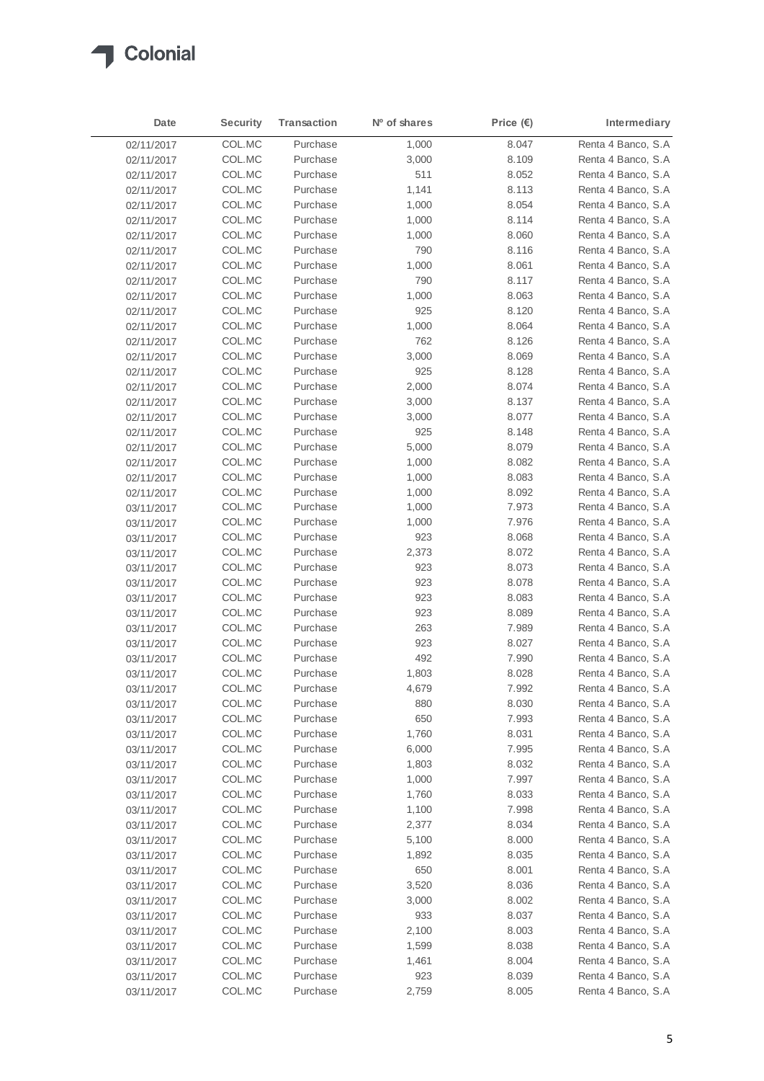

| Date       | <b>Security</b> | <b>Transaction</b> | Nº of shares | Price $(E)$ | Intermediary        |
|------------|-----------------|--------------------|--------------|-------------|---------------------|
| 02/11/2017 | COL.MC          | Purchase           | 1,000        | 8.047       | Renta 4 Banco, S.A  |
| 02/11/2017 | COL.MC          | Purchase           | 3,000        | 8.109       | Renta 4 Banco, S.A  |
| 02/11/2017 | COL.MC          | Purchase           | 511          | 8.052       | Renta 4 Banco, S.A  |
| 02/11/2017 | COL.MC          | Purchase           | 1,141        | 8.113       | Renta 4 Banco, S.A  |
| 02/11/2017 | COL.MC          | Purchase           | 1,000        | 8.054       | Renta 4 Banco, S.A  |
| 02/11/2017 | COL.MC          | Purchase           | 1,000        | 8.114       | Renta 4 Banco, S.A  |
| 02/11/2017 | COL.MC          | Purchase           | 1,000        | 8.060       | Renta 4 Banco, S.A. |
| 02/11/2017 | COL.MC          | Purchase           | 790          | 8.116       | Renta 4 Banco, S.A  |
| 02/11/2017 | COL.MC          | Purchase           | 1,000        | 8.061       | Renta 4 Banco, S.A  |
| 02/11/2017 | COL.MC          | Purchase           | 790          | 8.117       | Renta 4 Banco, S.A  |
| 02/11/2017 | COL.MC          | Purchase           | 1,000        | 8.063       | Renta 4 Banco, S.A  |
| 02/11/2017 | COL.MC          | Purchase           | 925          | 8.120       | Renta 4 Banco, S.A  |
| 02/11/2017 | COL.MC          | Purchase           | 1,000        | 8.064       | Renta 4 Banco, S.A  |
| 02/11/2017 | COL.MC          | Purchase           | 762          | 8.126       | Renta 4 Banco, S.A  |
| 02/11/2017 | COL.MC          | Purchase           | 3,000        | 8.069       | Renta 4 Banco, S.A  |
| 02/11/2017 | COL.MC          | Purchase           | 925          | 8.128       | Renta 4 Banco, S.A  |
| 02/11/2017 | COL.MC          | Purchase           | 2,000        | 8.074       | Renta 4 Banco, S.A  |
| 02/11/2017 | COL.MC          | Purchase           | 3,000        | 8.137       | Renta 4 Banco, S.A  |
| 02/11/2017 | COL.MC          | Purchase           | 3,000        | 8.077       | Renta 4 Banco, S.A  |
| 02/11/2017 | COL.MC          | Purchase           | 925          | 8.148       | Renta 4 Banco, S.A  |
| 02/11/2017 | COL.MC          | Purchase           | 5,000        | 8.079       | Renta 4 Banco, S.A  |
| 02/11/2017 | COL.MC          | Purchase           | 1,000        | 8.082       | Renta 4 Banco, S.A  |
| 02/11/2017 | COL.MC          | Purchase           | 1,000        | 8.083       | Renta 4 Banco, S.A  |
| 02/11/2017 | COL.MC          | Purchase           | 1,000        | 8.092       | Renta 4 Banco, S.A  |
| 03/11/2017 | COL.MC          | Purchase           | 1,000        | 7.973       | Renta 4 Banco, S.A  |
| 03/11/2017 | COL.MC          | Purchase           | 1,000        | 7.976       | Renta 4 Banco, S.A  |
| 03/11/2017 | COL.MC          | Purchase           | 923          | 8.068       | Renta 4 Banco, S.A  |
| 03/11/2017 | COL.MC          | Purchase           | 2,373        | 8.072       | Renta 4 Banco, S.A  |
| 03/11/2017 | COL.MC          | Purchase           | 923          | 8.073       | Renta 4 Banco, S.A  |
| 03/11/2017 | COL.MC          | Purchase           | 923          | 8.078       | Renta 4 Banco, S.A  |
| 03/11/2017 | COL.MC          | Purchase           | 923          | 8.083       | Renta 4 Banco, S.A  |
| 03/11/2017 | COL.MC          | Purchase           | 923          | 8.089       | Renta 4 Banco, S.A  |
| 03/11/2017 | COL.MC          | Purchase           | 263          | 7.989       | Renta 4 Banco, S.A  |
| 03/11/2017 | COL.MC          | Purchase           | 923          | 8.027       | Renta 4 Banco, S.A  |
| 03/11/2017 | COL.MC          | Purchase           | 492          | 7.990       | Renta 4 Banco, S.A  |
| 03/11/2017 | COL.MC          | Purchase           | 1,803        | 8.028       | Renta 4 Banco, S.A  |
| 03/11/2017 | COL.MC          | Purchase           | 4,679        | 7.992       | Renta 4 Banco, S.A  |
| 03/11/2017 | COL.MC          | Purchase           | 880          | 8.030       | Renta 4 Banco, S.A  |
| 03/11/2017 | COL.MC          | Purchase           | 650          | 7.993       | Renta 4 Banco, S.A  |
| 03/11/2017 | COL.MC          | Purchase           | 1,760        | 8.031       | Renta 4 Banco, S.A  |
| 03/11/2017 | COL.MC          | Purchase           | 6,000        | 7.995       | Renta 4 Banco, S.A  |
| 03/11/2017 | COL.MC          | Purchase           | 1,803        | 8.032       | Renta 4 Banco, S.A  |
| 03/11/2017 | COL.MC          | Purchase           | 1,000        | 7.997       | Renta 4 Banco, S.A  |
| 03/11/2017 | COL.MC          | Purchase           | 1,760        | 8.033       | Renta 4 Banco, S.A  |
| 03/11/2017 | COL.MC          | Purchase           | 1,100        | 7.998       | Renta 4 Banco, S.A  |
| 03/11/2017 | COL.MC          | Purchase           | 2,377        | 8.034       | Renta 4 Banco, S.A  |
| 03/11/2017 | COL.MC          | Purchase           | 5,100        | 8.000       | Renta 4 Banco, S.A  |
| 03/11/2017 | COL.MC          | Purchase           | 1,892        | 8.035       | Renta 4 Banco, S.A  |
| 03/11/2017 | COL.MC          | Purchase           | 650          | 8.001       | Renta 4 Banco, S.A  |
| 03/11/2017 | COL.MC          | Purchase           | 3,520        | 8.036       | Renta 4 Banco, S.A  |
| 03/11/2017 | COL.MC          | Purchase           | 3,000        | 8.002       | Renta 4 Banco, S.A  |
| 03/11/2017 | COL.MC          | Purchase           | 933          | 8.037       | Renta 4 Banco, S.A  |
| 03/11/2017 | COL.MC          | Purchase           | 2,100        | 8.003       | Renta 4 Banco, S.A  |
| 03/11/2017 | COL.MC          | Purchase           | 1,599        | 8.038       | Renta 4 Banco, S.A  |
| 03/11/2017 | COL.MC          | Purchase           | 1,461        | 8.004       | Renta 4 Banco, S.A  |
| 03/11/2017 | COL.MC          | Purchase           | 923          | 8.039       | Renta 4 Banco, S.A  |
| 03/11/2017 | COL.MC          | Purchase           | 2,759        | 8.005       | Renta 4 Banco, S.A  |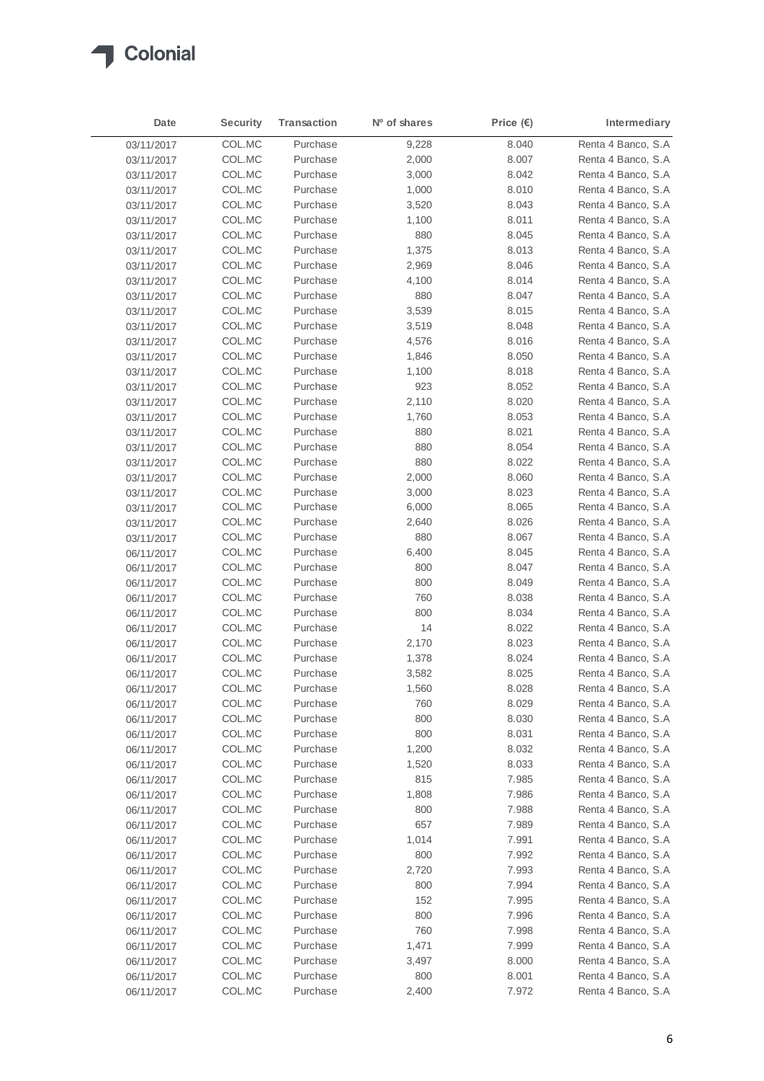

| Date                     | <b>Security</b>  | <b>Transaction</b>   | Nº of shares | Price $(\epsilon)$ | Intermediary                             |
|--------------------------|------------------|----------------------|--------------|--------------------|------------------------------------------|
| 03/11/2017               | COL.MC           | Purchase             | 9,228        | 8.040              | Renta 4 Banco, S.A                       |
| 03/11/2017               | COL.MC           | Purchase             | 2,000        | 8.007              | Renta 4 Banco, S.A.                      |
| 03/11/2017               | COL.MC           | Purchase             | 3,000        | 8.042              | Renta 4 Banco, S.A                       |
| 03/11/2017               | COL.MC           | Purchase             | 1,000        | 8.010              | Renta 4 Banco, S.A                       |
| 03/11/2017               | COL.MC           | Purchase             | 3,520        | 8.043              | Renta 4 Banco, S.A                       |
| 03/11/2017               | COL.MC           | Purchase             | 1,100        | 8.011              | Renta 4 Banco, S.A                       |
| 03/11/2017               | COL.MC           | Purchase             | 880          | 8.045              | Renta 4 Banco, S.A                       |
| 03/11/2017               | COL.MC           | Purchase             | 1,375        | 8.013              | Renta 4 Banco, S.A                       |
| 03/11/2017               | COL.MC           | Purchase             | 2,969        | 8.046              | Renta 4 Banco, S.A                       |
| 03/11/2017               | COL.MC           | Purchase             | 4,100        | 8.014              | Renta 4 Banco, S.A                       |
| 03/11/2017               | COL.MC           | Purchase             | 880          | 8.047              | Renta 4 Banco, S.A                       |
| 03/11/2017               | COL.MC           | Purchase             | 3,539        | 8.015              | Renta 4 Banco, S.A                       |
| 03/11/2017               | COL.MC           | Purchase             | 3,519        | 8.048              | Renta 4 Banco, S.A                       |
| 03/11/2017               | COL.MC           | Purchase             | 4,576        | 8.016              | Renta 4 Banco, S.A                       |
| 03/11/2017               | COL.MC           | Purchase             | 1,846        | 8.050              | Renta 4 Banco, S.A                       |
| 03/11/2017               | COL.MC           | Purchase             | 1,100        | 8.018              | Renta 4 Banco, S.A                       |
| 03/11/2017               | COL.MC           | Purchase             | 923          | 8.052              | Renta 4 Banco, S.A                       |
| 03/11/2017               | COL.MC           | Purchase             | 2,110        | 8.020              | Renta 4 Banco, S.A                       |
| 03/11/2017               | COL.MC           | Purchase             | 1,760        | 8.053              | Renta 4 Banco, S.A                       |
| 03/11/2017               | COL.MC           | Purchase             | 880          | 8.021              | Renta 4 Banco, S.A                       |
| 03/11/2017               | COL.MC           | Purchase             | 880          | 8.054              | Renta 4 Banco, S.A                       |
| 03/11/2017               | COL.MC           | Purchase             | 880          | 8.022              | Renta 4 Banco, S.A                       |
| 03/11/2017               | COL.MC           | Purchase             | 2,000        | 8.060              | Renta 4 Banco, S.A                       |
| 03/11/2017               | COL.MC           | Purchase             | 3,000        | 8.023              | Renta 4 Banco, S.A                       |
| 03/11/2017               | COL.MC           | Purchase             | 6,000        | 8.065              | Renta 4 Banco, S.A                       |
| 03/11/2017               | COL.MC           | Purchase             | 2,640        | 8.026              | Renta 4 Banco, S.A                       |
| 03/11/2017               | COL.MC           | Purchase             | 880          | 8.067              | Renta 4 Banco, S.A                       |
| 06/11/2017               | COL.MC           | Purchase             | 6,400        | 8.045              | Renta 4 Banco, S.A                       |
| 06/11/2017               | COL.MC           | Purchase             | 800          | 8.047              | Renta 4 Banco, S.A                       |
| 06/11/2017               | COL.MC           | Purchase             | 800          | 8.049              | Renta 4 Banco, S.A                       |
| 06/11/2017               | COL.MC<br>COL.MC | Purchase<br>Purchase | 760<br>800   | 8.038<br>8.034     | Renta 4 Banco, S.A<br>Renta 4 Banco, S.A |
| 06/11/2017               | COL.MC           | Purchase             | 14           | 8.022              | Renta 4 Banco, S.A                       |
| 06/11/2017<br>06/11/2017 | COL.MC           | Purchase             | 2,170        | 8.023              | Renta 4 Banco, S.A                       |
| 06/11/2017               | COL.MC           | Purchase             | 1,378        | 8.024              | Renta 4 Banco, S.A                       |
| 06/11/2017               | COL.MC           | Purchase             | 3,582        | 8.025              | Renta 4 Banco, S.A                       |
| 06/11/2017               | COL.MC           | Purchase             | 1,560        | 8.028              | Renta 4 Banco, S.A                       |
| 06/11/2017               | COL.MC           | Purchase             | 760          | 8.029              | Renta 4 Banco, S.A                       |
| 06/11/2017               | COL.MC           | Purchase             | 800          | 8.030              | Renta 4 Banco, S.A                       |
| 06/11/2017               | COL.MC           | Purchase             | 800          | 8.031              | Renta 4 Banco, S.A                       |
| 06/11/2017               | COL.MC           | Purchase             | 1,200        | 8.032              | Renta 4 Banco, S.A                       |
| 06/11/2017               | COL.MC           | Purchase             | 1,520        | 8.033              | Renta 4 Banco, S.A                       |
| 06/11/2017               | COL.MC           | Purchase             | 815          | 7.985              | Renta 4 Banco, S.A                       |
| 06/11/2017               | COL.MC           | Purchase             | 1,808        | 7.986              | Renta 4 Banco, S.A                       |
| 06/11/2017               | COL.MC           | Purchase             | 800          | 7.988              | Renta 4 Banco, S.A                       |
| 06/11/2017               | COL.MC           | Purchase             | 657          | 7.989              | Renta 4 Banco, S.A                       |
| 06/11/2017               | COL.MC           | Purchase             | 1,014        | 7.991              | Renta 4 Banco, S.A                       |
| 06/11/2017               | COL.MC           | Purchase             | 800          | 7.992              | Renta 4 Banco, S.A                       |
| 06/11/2017               | COL.MC           | Purchase             | 2,720        | 7.993              | Renta 4 Banco, S.A                       |
| 06/11/2017               | COL.MC           | Purchase             | 800          | 7.994              | Renta 4 Banco, S.A                       |
| 06/11/2017               | COL.MC           | Purchase             | 152          | 7.995              | Renta 4 Banco, S.A                       |
| 06/11/2017               | COL.MC           | Purchase             | 800          | 7.996              | Renta 4 Banco, S.A                       |
| 06/11/2017               | COL.MC           | Purchase             | 760          | 7.998              | Renta 4 Banco, S.A                       |
| 06/11/2017               | COL.MC           | Purchase             | 1,471        | 7.999              | Renta 4 Banco, S.A                       |
| 06/11/2017               | COL.MC           | Purchase             | 3,497        | 8.000              | Renta 4 Banco, S.A                       |
| 06/11/2017               | COL.MC           | Purchase             | 800          | 8.001              | Renta 4 Banco, S.A                       |
| 06/11/2017               | COL.MC           | Purchase             | 2,400        | 7.972              | Renta 4 Banco, S.A                       |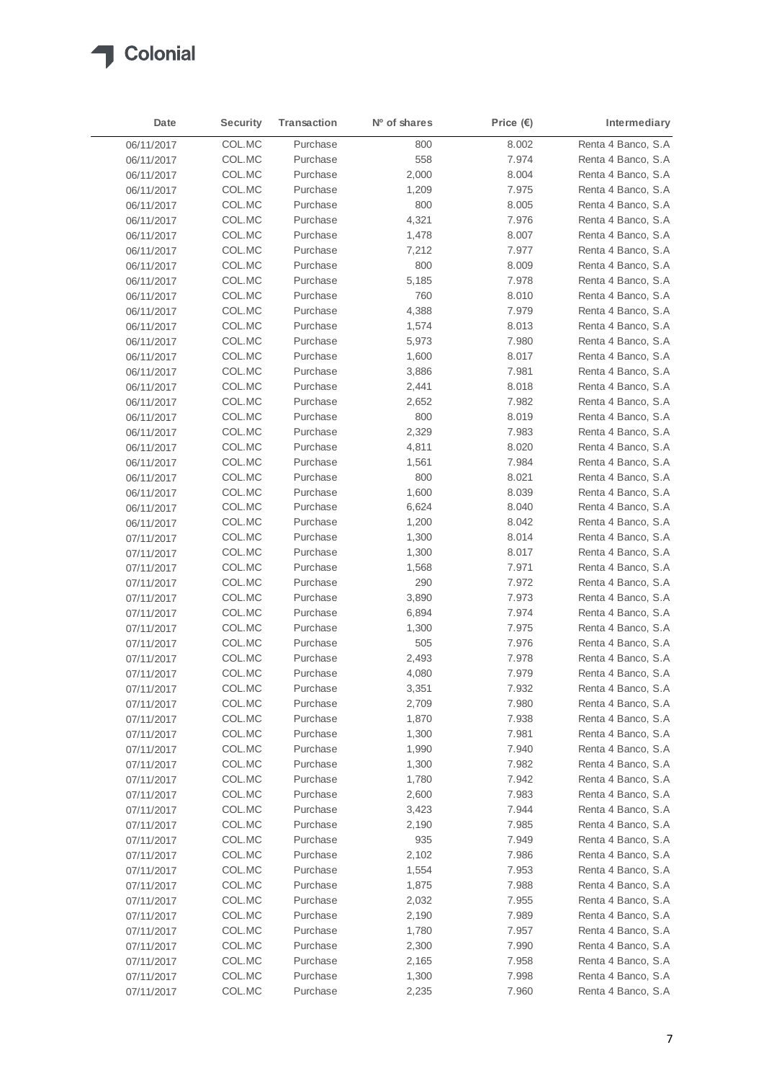

| Date       | <b>Security</b> | Transaction | N <sup>o</sup> of shares | Price $(\epsilon)$ | Intermediary        |
|------------|-----------------|-------------|--------------------------|--------------------|---------------------|
| 06/11/2017 | COL.MC          | Purchase    | 800                      | 8.002              | Renta 4 Banco, S.A  |
| 06/11/2017 | COL.MC          | Purchase    | 558                      | 7.974              | Renta 4 Banco, S.A  |
| 06/11/2017 | COL.MC          | Purchase    | 2,000                    | 8.004              | Renta 4 Banco, S.A  |
| 06/11/2017 | COL.MC          | Purchase    | 1,209                    | 7.975              | Renta 4 Banco, S.A  |
| 06/11/2017 | COL.MC          | Purchase    | 800                      | 8.005              | Renta 4 Banco, S.A. |
| 06/11/2017 | COL.MC          | Purchase    | 4,321                    | 7.976              | Renta 4 Banco, S.A  |
| 06/11/2017 | COL.MC          | Purchase    | 1,478                    | 8.007              | Renta 4 Banco, S.A. |
| 06/11/2017 | COL.MC          | Purchase    | 7,212                    | 7.977              | Renta 4 Banco, S.A  |
| 06/11/2017 | COL.MC          | Purchase    | 800                      | 8.009              | Renta 4 Banco, S.A  |
| 06/11/2017 | COL.MC          | Purchase    | 5,185                    | 7.978              | Renta 4 Banco, S.A  |
| 06/11/2017 | COL.MC          | Purchase    | 760                      | 8.010              | Renta 4 Banco, S.A  |
| 06/11/2017 | COL.MC          | Purchase    | 4,388                    | 7.979              | Renta 4 Banco, S.A  |
| 06/11/2017 | COL.MC          | Purchase    | 1,574                    | 8.013              | Renta 4 Banco, S.A  |
| 06/11/2017 | COL.MC          | Purchase    | 5,973                    | 7.980              | Renta 4 Banco, S.A  |
| 06/11/2017 | COL.MC          | Purchase    | 1,600                    | 8.017              | Renta 4 Banco, S.A  |
| 06/11/2017 | COL.MC          | Purchase    | 3,886                    | 7.981              | Renta 4 Banco, S.A  |
| 06/11/2017 | COL.MC          | Purchase    | 2,441                    | 8.018              | Renta 4 Banco, S.A  |
| 06/11/2017 | COL.MC          | Purchase    | 2,652                    | 7.982              | Renta 4 Banco, S.A  |
| 06/11/2017 | COL.MC          | Purchase    | 800                      | 8.019              | Renta 4 Banco, S.A  |
| 06/11/2017 | COL.MC          | Purchase    | 2,329                    | 7.983              | Renta 4 Banco, S.A  |
| 06/11/2017 | COL.MC          | Purchase    | 4,811                    | 8.020              | Renta 4 Banco, S.A  |
| 06/11/2017 | COL.MC          | Purchase    | 1,561                    | 7.984              | Renta 4 Banco, S.A  |
| 06/11/2017 | COL.MC          | Purchase    | 800                      | 8.021              | Renta 4 Banco, S.A  |
| 06/11/2017 | COL.MC          | Purchase    | 1,600                    | 8.039              | Renta 4 Banco, S.A  |
| 06/11/2017 | COL.MC          | Purchase    | 6,624                    | 8.040              | Renta 4 Banco, S.A  |
| 06/11/2017 | COL.MC          | Purchase    | 1,200                    | 8.042              | Renta 4 Banco, S.A  |
| 07/11/2017 | COL.MC          | Purchase    | 1,300                    | 8.014              | Renta 4 Banco, S.A  |
| 07/11/2017 | COL.MC          | Purchase    | 1,300                    | 8.017              | Renta 4 Banco, S.A  |
| 07/11/2017 | COL.MC          | Purchase    | 1,568                    | 7.971              | Renta 4 Banco, S.A  |
| 07/11/2017 | COL.MC          | Purchase    | 290                      | 7.972              | Renta 4 Banco, S.A  |
| 07/11/2017 | COL.MC          | Purchase    | 3,890                    | 7.973              | Renta 4 Banco, S.A  |
| 07/11/2017 | COL.MC          | Purchase    | 6,894                    | 7.974              | Renta 4 Banco, S.A  |
| 07/11/2017 | COL.MC          | Purchase    | 1,300                    | 7.975              | Renta 4 Banco, S.A  |
| 07/11/2017 | COL.MC          | Purchase    | 505                      | 7.976              | Renta 4 Banco, S.A  |
| 07/11/2017 | COL.MC          | Purchase    | 2,493                    | 7.978              | Renta 4 Banco, S.A  |
| 07/11/2017 | COL.MC          | Purchase    | 4,080                    | 7.979              | Renta 4 Banco, S.A  |
| 07/11/2017 | COL.MC          | Purchase    | 3,351                    | 7.932              | Renta 4 Banco, S.A  |
| 07/11/2017 | COL.MC          | Purchase    | 2,709                    | 7.980              | Renta 4 Banco, S.A  |
| 07/11/2017 | COL.MC          | Purchase    | 1,870                    | 7.938              | Renta 4 Banco, S.A  |
| 07/11/2017 | COL.MC          | Purchase    | 1,300                    | 7.981              | Renta 4 Banco, S.A  |
| 07/11/2017 | COL.MC          | Purchase    | 1,990                    | 7.940              | Renta 4 Banco, S.A  |
| 07/11/2017 | COL.MC          | Purchase    | 1,300                    | 7.982              | Renta 4 Banco, S.A. |
| 07/11/2017 | COL.MC          | Purchase    | 1,780                    | 7.942              | Renta 4 Banco, S.A  |
| 07/11/2017 | COL.MC          | Purchase    | 2,600                    | 7.983              | Renta 4 Banco, S.A  |
| 07/11/2017 | COL.MC          | Purchase    | 3,423                    | 7.944              | Renta 4 Banco, S.A  |
| 07/11/2017 | COL.MC          | Purchase    | 2,190                    | 7.985              | Renta 4 Banco, S.A  |
| 07/11/2017 | COL.MC          | Purchase    | 935                      | 7.949              | Renta 4 Banco, S.A  |
| 07/11/2017 | COL.MC          | Purchase    | 2,102                    | 7.986              | Renta 4 Banco, S.A  |
| 07/11/2017 | COL.MC          | Purchase    | 1,554                    | 7.953              | Renta 4 Banco, S.A  |
| 07/11/2017 | COL.MC          | Purchase    | 1,875                    | 7.988              | Renta 4 Banco, S.A  |
| 07/11/2017 | COL.MC          | Purchase    | 2,032                    | 7.955              | Renta 4 Banco, S.A  |
| 07/11/2017 | COL.MC          | Purchase    | 2,190                    | 7.989              | Renta 4 Banco, S.A  |
| 07/11/2017 | COL.MC          | Purchase    | 1,780                    | 7.957              | Renta 4 Banco, S.A  |
| 07/11/2017 | COL.MC          | Purchase    | 2,300                    | 7.990              | Renta 4 Banco, S.A. |
| 07/11/2017 | COL.MC          | Purchase    | 2,165                    | 7.958              | Renta 4 Banco, S.A  |
| 07/11/2017 | COL.MC          | Purchase    | 1,300                    | 7.998              | Renta 4 Banco, S.A  |
| 07/11/2017 | COL.MC          | Purchase    | 2,235                    | 7.960              | Renta 4 Banco, S.A  |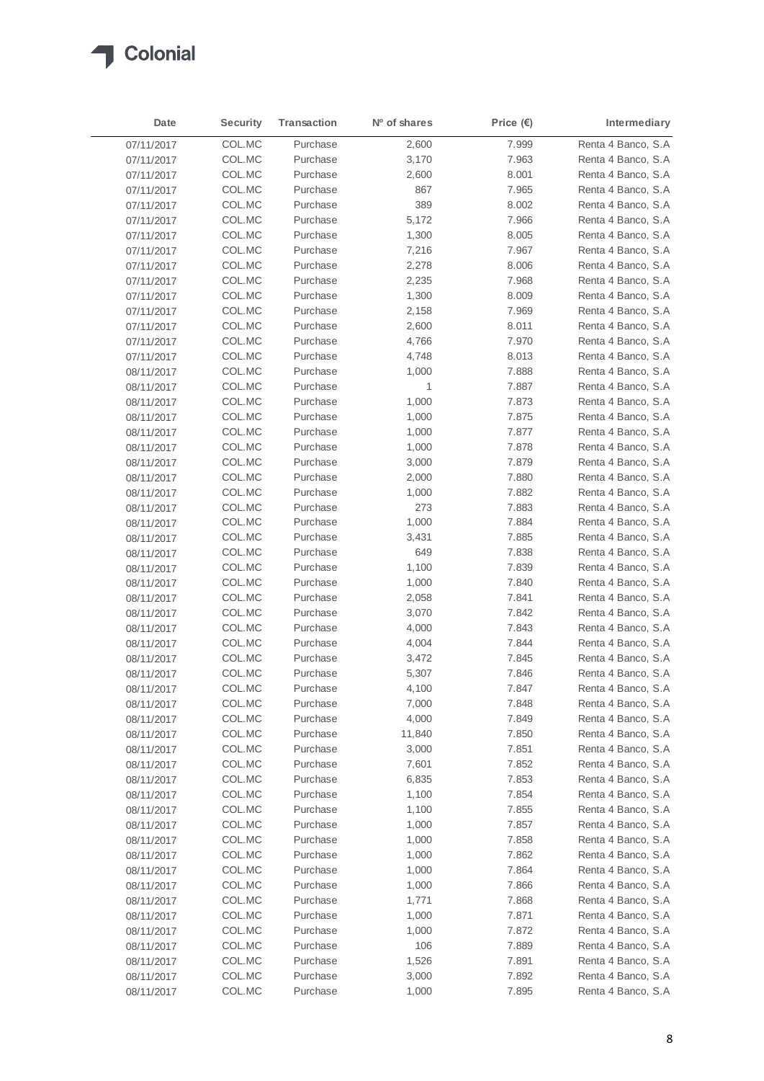

| Date       | <b>Security</b> | <b>Transaction</b> | Nº of shares | Price $(\epsilon)$ | Intermediary        |
|------------|-----------------|--------------------|--------------|--------------------|---------------------|
| 07/11/2017 | COL.MC          | Purchase           | 2,600        | 7.999              | Renta 4 Banco, S.A  |
| 07/11/2017 | COL.MC          | Purchase           | 3,170        | 7.963              | Renta 4 Banco, S.A  |
| 07/11/2017 | COL.MC          | Purchase           | 2,600        | 8.001              | Renta 4 Banco, S.A  |
| 07/11/2017 | COL.MC          | Purchase           | 867          | 7.965              | Renta 4 Banco, S.A  |
| 07/11/2017 | COL.MC          | Purchase           | 389          | 8.002              | Renta 4 Banco, S.A  |
| 07/11/2017 | COL.MC          | Purchase           | 5,172        | 7.966              | Renta 4 Banco, S.A  |
| 07/11/2017 | COL.MC          | Purchase           | 1,300        | 8.005              | Renta 4 Banco, S.A. |
| 07/11/2017 | COL.MC          | Purchase           | 7,216        | 7.967              | Renta 4 Banco, S.A  |
| 07/11/2017 | COL.MC          | Purchase           | 2,278        | 8.006              | Renta 4 Banco, S.A  |
| 07/11/2017 | COL.MC          | Purchase           | 2,235        | 7.968              | Renta 4 Banco, S.A  |
| 07/11/2017 | COL.MC          | Purchase           | 1,300        | 8.009              | Renta 4 Banco, S.A  |
| 07/11/2017 | COL.MC          | Purchase           | 2,158        | 7.969              | Renta 4 Banco, S.A  |
| 07/11/2017 | COL.MC          | Purchase           | 2,600        | 8.011              | Renta 4 Banco, S.A  |
| 07/11/2017 | COL.MC          | Purchase           | 4,766        | 7.970              | Renta 4 Banco, S.A. |
| 07/11/2017 | COL.MC          | Purchase           | 4,748        | 8.013              | Renta 4 Banco, S.A  |
| 08/11/2017 | COL.MC          | Purchase           | 1,000        | 7.888              | Renta 4 Banco, S.A  |
| 08/11/2017 | COL.MC          | Purchase           | 1            | 7.887              | Renta 4 Banco, S.A  |
| 08/11/2017 | COL.MC          | Purchase           | 1,000        | 7.873              | Renta 4 Banco, S.A  |
| 08/11/2017 | COL.MC          | Purchase           | 1,000        | 7.875              | Renta 4 Banco, S.A  |
| 08/11/2017 | COL.MC          | Purchase           | 1,000        | 7.877              | Renta 4 Banco, S.A  |
| 08/11/2017 | COL.MC          | Purchase           | 1,000        | 7.878              | Renta 4 Banco, S.A  |
| 08/11/2017 | COL.MC          | Purchase           | 3,000        | 7.879              | Renta 4 Banco, S.A  |
| 08/11/2017 | COL.MC          | Purchase           | 2,000        | 7.880              | Renta 4 Banco, S.A  |
| 08/11/2017 | COL.MC          | Purchase           | 1,000        | 7.882              | Renta 4 Banco, S.A  |
| 08/11/2017 | COL.MC          | Purchase           | 273          | 7.883              | Renta 4 Banco, S.A  |
| 08/11/2017 | COL.MC          | Purchase           | 1,000        | 7.884              | Renta 4 Banco, S.A  |
| 08/11/2017 | COL.MC          | Purchase           | 3,431        | 7.885              | Renta 4 Banco, S.A. |
| 08/11/2017 | COL.MC          | Purchase           | 649          | 7.838              | Renta 4 Banco, S.A  |
| 08/11/2017 | COL.MC          | Purchase           | 1,100        | 7.839              | Renta 4 Banco, S.A  |
| 08/11/2017 | COL.MC          | Purchase           | 1,000        | 7.840              | Renta 4 Banco, S.A  |
| 08/11/2017 | COL.MC          | Purchase           | 2,058        | 7.841              | Renta 4 Banco, S.A  |
| 08/11/2017 | COL.MC          | Purchase           | 3,070        | 7.842              | Renta 4 Banco, S.A  |
| 08/11/2017 | COL.MC          | Purchase           | 4,000        | 7.843              | Renta 4 Banco, S.A  |
| 08/11/2017 | COL.MC          | Purchase           | 4,004        | 7.844              | Renta 4 Banco, S.A  |
| 08/11/2017 | COL.MC          | Purchase           | 3,472        | 7.845              | Renta 4 Banco, S.A  |
| 08/11/2017 | COL.MC          | Purchase           | 5,307        | 7.846              | Renta 4 Banco, S.A  |
| 08/11/2017 | COL.MC          | Purchase           | 4,100        | 7.847              | Renta 4 Banco, S.A  |
| 08/11/2017 | COL.MC          | Purchase           | 7,000        | 7.848              | Renta 4 Banco, S.A  |
| 08/11/2017 | COL.MC          | Purchase           | 4,000        | 7.849              | Renta 4 Banco, S.A  |
| 08/11/2017 | COL.MC          | Purchase           | 11,840       | 7.850              | Renta 4 Banco, S.A  |
| 08/11/2017 | COL.MC          | Purchase           | 3,000        | 7.851              | Renta 4 Banco, S.A. |
| 08/11/2017 | COL.MC          | Purchase           | 7,601        | 7.852              | Renta 4 Banco, S.A  |
| 08/11/2017 | COL.MC          | Purchase           | 6,835        | 7.853              | Renta 4 Banco, S.A  |
| 08/11/2017 | COL.MC          | Purchase           | 1,100        | 7.854              | Renta 4 Banco, S.A  |
| 08/11/2017 | COL.MC          | Purchase           | 1,100        | 7.855              | Renta 4 Banco, S.A  |
| 08/11/2017 | COL.MC          | Purchase           | 1,000        | 7.857              | Renta 4 Banco, S.A  |
| 08/11/2017 | COL.MC          | Purchase           | 1,000        | 7.858              | Renta 4 Banco, S.A  |
| 08/11/2017 | COL.MC          | Purchase           | 1,000        | 7.862              | Renta 4 Banco, S.A  |
| 08/11/2017 | COL.MC          | Purchase           | 1,000        | 7.864              | Renta 4 Banco, S.A  |
| 08/11/2017 | COL.MC          | Purchase           | 1,000        | 7.866              | Renta 4 Banco, S.A  |
| 08/11/2017 | COL.MC          | Purchase           | 1,771        | 7.868              | Renta 4 Banco, S.A  |
| 08/11/2017 | COL.MC          | Purchase           | 1,000        | 7.871              | Renta 4 Banco, S.A  |
| 08/11/2017 | COL.MC          | Purchase           | 1,000        | 7.872              | Renta 4 Banco, S.A  |
| 08/11/2017 | COL.MC          | Purchase           | 106          | 7.889              | Renta 4 Banco, S.A  |
| 08/11/2017 | COL.MC          | Purchase           | 1,526        | 7.891              | Renta 4 Banco, S.A  |
| 08/11/2017 | COL.MC          | Purchase           | 3,000        | 7.892              | Renta 4 Banco, S.A. |
| 08/11/2017 | COL.MC          | Purchase           | 1,000        | 7.895              | Renta 4 Banco, S.A  |